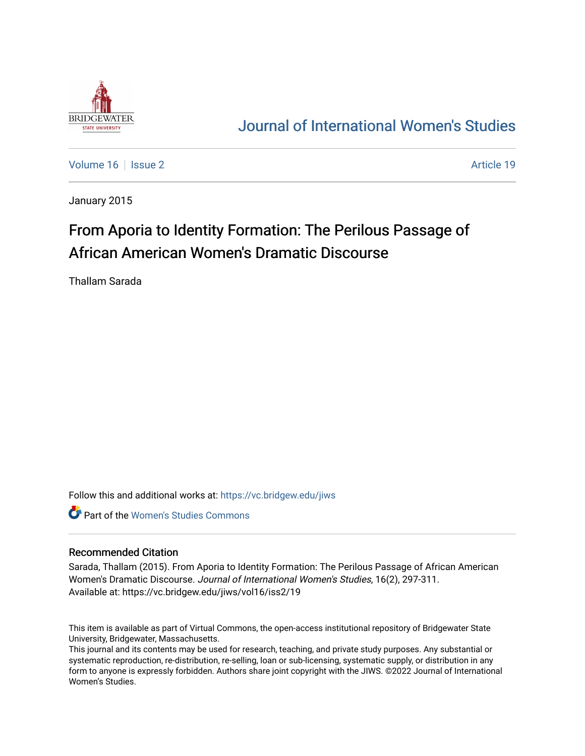

## [Journal of International Women's Studies](https://vc.bridgew.edu/jiws)

[Volume 16](https://vc.bridgew.edu/jiws/vol16) September 2 Article 19

January 2015

# From Aporia to Identity Formation: The Perilous Passage of African American Women's Dramatic Discourse

Thallam Sarada

Follow this and additional works at: [https://vc.bridgew.edu/jiws](https://vc.bridgew.edu/jiws?utm_source=vc.bridgew.edu%2Fjiws%2Fvol16%2Fiss2%2F19&utm_medium=PDF&utm_campaign=PDFCoverPages)

**C** Part of the Women's Studies Commons

#### Recommended Citation

Sarada, Thallam (2015). From Aporia to Identity Formation: The Perilous Passage of African American Women's Dramatic Discourse. Journal of International Women's Studies, 16(2), 297-311. Available at: https://vc.bridgew.edu/jiws/vol16/iss2/19

This item is available as part of Virtual Commons, the open-access institutional repository of Bridgewater State University, Bridgewater, Massachusetts.

This journal and its contents may be used for research, teaching, and private study purposes. Any substantial or systematic reproduction, re-distribution, re-selling, loan or sub-licensing, systematic supply, or distribution in any form to anyone is expressly forbidden. Authors share joint copyright with the JIWS. ©2022 Journal of International Women's Studies.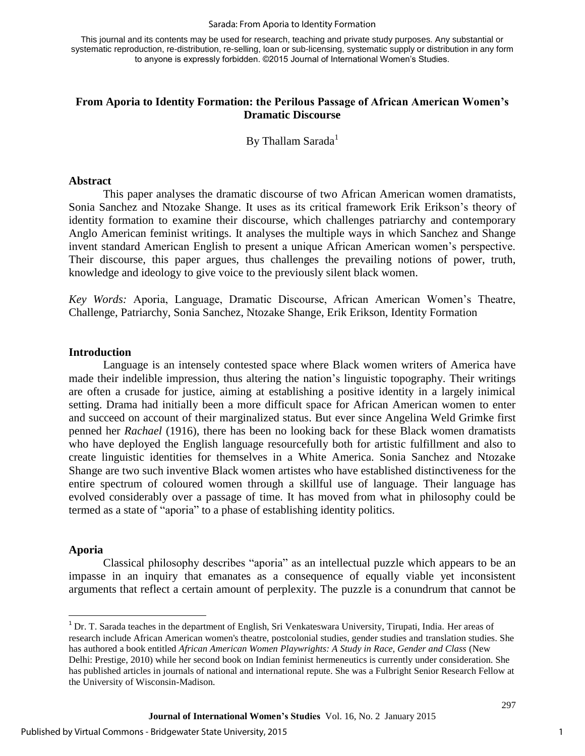#### Sarada: From Aporia to Identity Formation

This journal and its contents may be used for research, teaching and private study purposes. Any substantial or systematic reproduction, re-distribution, re-selling, loan or sub-licensing, systematic supply or distribution in any form to anyone is expressly forbidden. ©2015 Journal of International Women's Studies.

## **From Aporia to Identity Formation: the Perilous Passage of African American Women's Dramatic Discourse**

By Thallam Sarada $<sup>1</sup>$ </sup>

#### **Abstract**

This paper analyses the dramatic discourse of two African American women dramatists, Sonia Sanchez and Ntozake Shange. It uses as its critical framework Erik Erikson's theory of identity formation to examine their discourse, which challenges patriarchy and contemporary Anglo American feminist writings. It analyses the multiple ways in which Sanchez and Shange invent standard American English to present a unique African American women's perspective. Their discourse, this paper argues, thus challenges the prevailing notions of power, truth, knowledge and ideology to give voice to the previously silent black women.

*Key Words:* Aporia, Language, Dramatic Discourse, African American Women's Theatre, Challenge, Patriarchy, Sonia Sanchez, Ntozake Shange, Erik Erikson, Identity Formation

#### **Introduction**

Language is an intensely contested space where Black women writers of America have made their indelible impression, thus altering the nation's linguistic topography. Their writings are often a crusade for justice, aiming at establishing a positive identity in a largely inimical setting. Drama had initially been a more difficult space for African American women to enter and succeed on account of their marginalized status. But ever since Angelina Weld Grimke first penned her *Rachael* (1916), there has been no looking back for these Black women dramatists who have deployed the English language resourcefully both for artistic fulfillment and also to create linguistic identities for themselves in a White America. Sonia Sanchez and Ntozake Shange are two such inventive Black women artistes who have established distinctiveness for the entire spectrum of coloured women through a skillful use of language. Their language has evolved considerably over a passage of time. It has moved from what in philosophy could be termed as a state of "aporia" to a phase of establishing identity politics.

#### **Aporia**

 $\overline{\phantom{a}}$ 

Classical philosophy describes "aporia" as an intellectual puzzle which appears to be an impasse in an inquiry that emanates as a consequence of equally viable yet inconsistent arguments that reflect a certain amount of perplexity. The puzzle is a conundrum that cannot be

<sup>&</sup>lt;sup>1</sup> Dr. T. Sarada teaches in the department of English, Sri Venkateswara University, Tirupati, India. Her areas of research include African American women's theatre, postcolonial studies, gender studies and translation studies. She has authored a book entitled *African American Women Playwrights: A Study in Race, Gender and Class* (New Delhi: Prestige, 2010) while her second book on Indian feminist hermeneutics is currently under consideration. She has published articles in journals of national and international repute. She was a Fulbright Senior Research Fellow at the University of Wisconsin-Madison.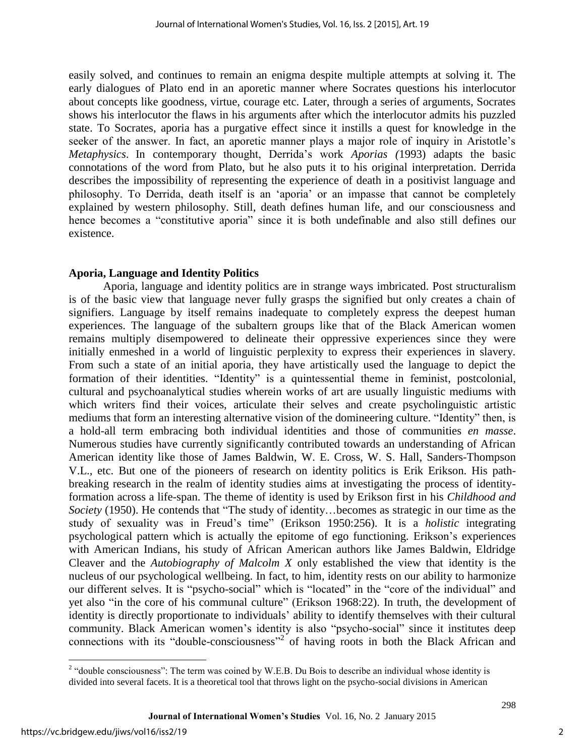easily solved, and continues to remain an enigma despite multiple attempts at solving it. The early dialogues of Plato end in an aporetic manner where Socrates questions his interlocutor about concepts like goodness, virtue, courage etc. Later, through a series of arguments, Socrates shows his interlocutor the flaws in his arguments after which the interlocutor admits his puzzled state. To Socrates, aporia has a purgative effect since it instills a quest for knowledge in the seeker of the answer. In fact, an aporetic manner plays a major role of inquiry in Aristotle's *Metaphysics*. In contemporary thought, Derrida's work *Aporias (*1993) adapts the basic connotations of the word from Plato, but he also puts it to his original interpretation. Derrida describes the impossibility of representing the experience of death in a positivist language and philosophy. To Derrida, death itself is an 'aporia' or an impasse that cannot be completely explained by western philosophy. Still, death defines human life, and our consciousness and hence becomes a "constitutive aporia" since it is both undefinable and also still defines our existence.

## **Aporia, Language and Identity Politics**

Aporia, language and identity politics are in strange ways imbricated. Post structuralism is of the basic view that language never fully grasps the signified but only creates a chain of signifiers. Language by itself remains inadequate to completely express the deepest human experiences. The language of the subaltern groups like that of the Black American women remains multiply disempowered to delineate their oppressive experiences since they were initially enmeshed in a world of linguistic perplexity to express their experiences in slavery. From such a state of an initial aporia, they have artistically used the language to depict the formation of their identities. "Identity" is a quintessential theme in feminist, postcolonial, cultural and psychoanalytical studies wherein works of art are usually linguistic mediums with which writers find their voices, articulate their selves and create psycholinguistic artistic mediums that form an interesting alternative vision of the domineering culture. "Identity" then, is a hold-all term embracing both individual identities and those of communities *en masse*. Numerous studies have currently significantly contributed towards an understanding of African American identity like those of James Baldwin, W. E. Cross, W. S. Hall, Sanders-Thompson V.L., etc. But one of the pioneers of research on identity politics is Erik Erikson. His pathbreaking research in the realm of identity studies aims at investigating the process of identityformation across a life-span. The theme of identity is used by Erikson first in his *Childhood and Society* (1950). He contends that "The study of identity…becomes as strategic in our time as the study of sexuality was in Freud's time" (Erikson 1950:256). It is a *holistic* integrating psychological pattern which is actually the epitome of ego functioning. Erikson's experiences with American Indians, his study of African American authors like James Baldwin, Eldridge Cleaver and the *Autobiography of Malcolm X* only established the view that identity is the nucleus of our psychological wellbeing. In fact, to him, identity rests on our ability to harmonize our different selves. It is "psycho-social" which is "located" in the "core of the individual" and yet also "in the core of his communal culture" (Erikson 1968:22). In truth, the development of identity is directly proportionate to individuals' ability to identify themselves with their cultural community. Black American women's identity is also "psycho-social" since it institutes deep connections with its "double-consciousness"<sup>2</sup> of having roots in both the Black African and

<sup>&</sup>lt;sup>2</sup> "double consciousness": The term was coined by W.E.B. Du Bois to describe an individual whose identity is divided into several facets. It is a theoretical tool that throws light on the psycho-social divisions in American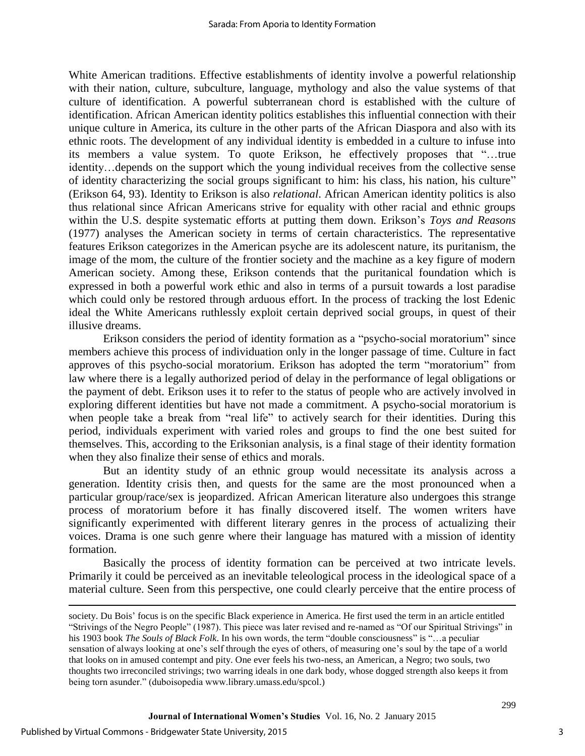White American traditions. Effective establishments of identity involve a powerful relationship with their nation, culture, subculture, language, mythology and also the value systems of that culture of identification. A powerful subterranean chord is established with the culture of identification. African American identity politics establishes this influential connection with their unique culture in America, its culture in the other parts of the African Diaspora and also with its ethnic roots. The development of any individual identity is embedded in a culture to infuse into its members a value system. To quote Erikson, he effectively proposes that "…true identity…depends on the support which the young individual receives from the collective sense of identity characterizing the social groups significant to him: his class, his nation, his culture" (Erikson 64, 93). Identity to Erikson is also *relational*. African American identity politics is also thus relational since African Americans strive for equality with other racial and ethnic groups within the U.S. despite systematic efforts at putting them down. Erikson's *Toys and Reasons* (1977) analyses the American society in terms of certain characteristics. The representative features Erikson categorizes in the American psyche are its adolescent nature, its puritanism, the image of the mom, the culture of the frontier society and the machine as a key figure of modern American society. Among these, Erikson contends that the puritanical foundation which is expressed in both a powerful work ethic and also in terms of a pursuit towards a lost paradise which could only be restored through arduous effort. In the process of tracking the lost Edenic ideal the White Americans ruthlessly exploit certain deprived social groups, in quest of their illusive dreams.

Erikson considers the period of identity formation as a "psycho-social moratorium" since members achieve this process of individuation only in the longer passage of time. Culture in fact approves of this psycho-social moratorium. Erikson has adopted the term "moratorium" from law where there is a legally authorized period of delay in the performance of legal obligations or the payment of debt. Erikson uses it to refer to the status of people who are actively involved in exploring different identities but have not made a commitment. A psycho-social moratorium is when people take a break from "real life" to actively search for their identities. During this period, individuals experiment with varied roles and groups to find the one best suited for themselves. This, according to the Eriksonian analysis, is a final stage of their identity formation when they also finalize their sense of ethics and morals.

But an identity study of an ethnic group would necessitate its analysis across a generation. Identity crisis then, and quests for the same are the most pronounced when a particular group/race/sex is jeopardized. African American literature also undergoes this strange process of moratorium before it has finally discovered itself. The women writers have significantly experimented with different literary genres in the process of actualizing their voices. Drama is one such genre where their language has matured with a mission of identity formation.

Basically the process of identity formation can be perceived at two intricate levels. Primarily it could be perceived as an inevitable teleological process in the ideological space of a material culture. Seen from this perspective, one could clearly perceive that the entire process of

 $\overline{\phantom{a}}$ 

society. Du Bois' focus is on the specific Black experience in America. He first used the term in an article entitled "Strivings of the Negro People" (1987). This piece was later revised and re-named as "Of our Spiritual Strivings" in his 1903 book *The Souls of Black Folk*. In his own words, the term "double consciousness" is "…a peculiar sensation of always looking at one's self through the eyes of others, of measuring one's soul by the tape of a world that looks on in amused contempt and pity. One ever feels his two-ness, an American, a Negro; two souls, two thoughts two irreconciled strivings; two warring ideals in one dark body, whose dogged strength also keeps it from being torn asunder." (duboisopedia www.library.umass.edu/spcol.)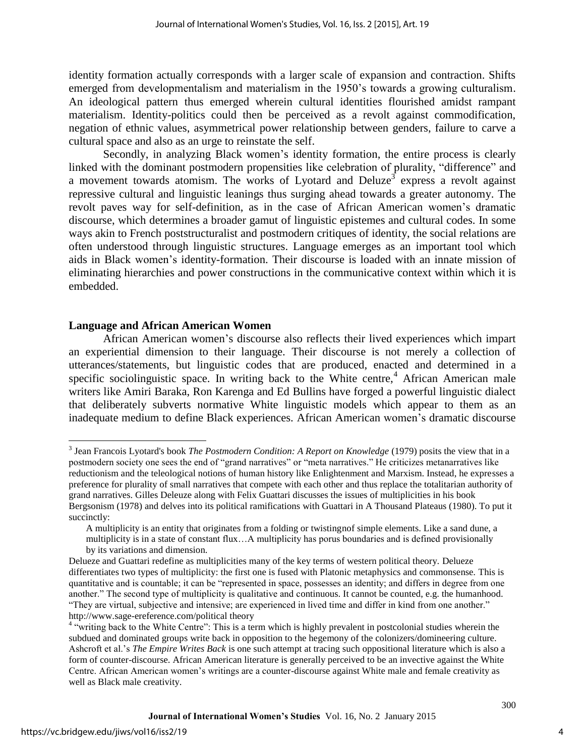identity formation actually corresponds with a larger scale of expansion and contraction. Shifts emerged from developmentalism and materialism in the 1950's towards a growing culturalism. An ideological pattern thus emerged wherein cultural identities flourished amidst rampant materialism. Identity-politics could then be perceived as a revolt against commodification, negation of ethnic values, asymmetrical power relationship between genders, failure to carve a cultural space and also as an urge to reinstate the self.

Secondly, in analyzing Black women's identity formation, the entire process is clearly linked with the dominant postmodern propensities like celebration of plurality, "difference" and a movement towards atomism. The works of Lyotard and Deluze<sup>3</sup> express a revolt against repressive cultural and linguistic leanings thus surging ahead towards a greater autonomy. The revolt paves way for self-definition, as in the case of African American women's dramatic discourse, which determines a broader gamut of linguistic epistemes and cultural codes. In some ways akin to French poststructuralist and postmodern critiques of identity, the social relations are often understood through linguistic structures. Language emerges as an important tool which aids in Black women's identity-formation. Their discourse is loaded with an innate mission of eliminating hierarchies and power constructions in the communicative context within which it is embedded.

## **Language and African American Women**

African American women's discourse also reflects their lived experiences which impart an experiential dimension to their language. Their discourse is not merely a collection of utterances/statements, but linguistic codes that are produced, enacted and determined in a specific sociolinguistic space. In writing back to the White centre,<sup>4</sup> African American male writers like Amiri Baraka, Ron Karenga and Ed Bullins have forged a powerful linguistic dialect that deliberately subverts normative White linguistic models which appear to them as an inadequate medium to define Black experiences. African American women's dramatic discourse

 $\overline{\phantom{a}}$ 

<sup>&</sup>lt;sup>3</sup> Jean Francois Lyotard's book *The Postmodern Condition: A Report on Knowledge* (1979) posits the view that in a postmodern society one sees the end of "grand narratives" or "meta narratives." He criticizes metanarratives like reductionism and the teleological notions of human history like Enlightenment and Marxism. Instead, he expresses a preference for plurality of small narratives that compete with each other and thus replace the totalitarian authority of grand narratives. Gilles Deleuze along with Felix Guattari discusses the issues of multiplicities in his book Bergsonism (1978) and delves into its political ramifications with Guattari in A Thousand Plateaus (1980). To put it succinctly:

A multiplicity is an entity that originates from a folding or twistingnof simple elements. Like a sand dune, a multiplicity is in a state of constant flux…A multiplicity has porus boundaries and is defined provisionally by its variations and dimension.

Delueze and Guattari redefine as multiplicities many of the key terms of western political theory. Delueze differentiates two types of multiplicity: the first one is fused with Platonic metaphysics and commonsense. This is quantitative and is countable; it can be "represented in space, possesses an identity; and differs in degree from one another." The second type of multiplicity is qualitative and continuous. It cannot be counted, e.g. the humanhood. "They are virtual, subjective and intensive; are experienced in lived time and differ in kind from one another." http://www.sage-ereference.com/political theory

<sup>&</sup>lt;sup>4</sup> "writing back to the White Centre": This is a term which is highly prevalent in postcolonial studies wherein the subdued and dominated groups write back in opposition to the hegemony of the colonizers/domineering culture. Ashcroft et al.'s *The Empire Writes Back* is one such attempt at tracing such oppositional literature which is also a form of counter-discourse. African American literature is generally perceived to be an invective against the White Centre. African American women's writings are a counter-discourse against White male and female creativity as well as Black male creativity.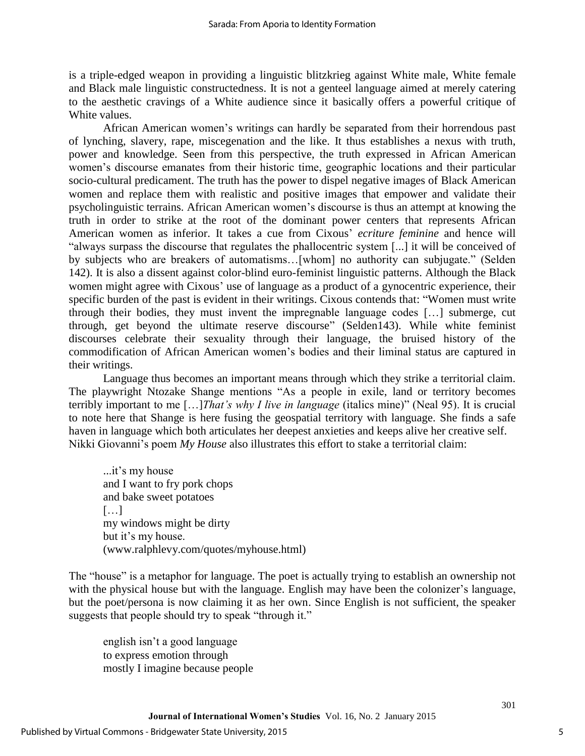is a triple-edged weapon in providing a linguistic blitzkrieg against White male, White female and Black male linguistic constructedness. It is not a genteel language aimed at merely catering to the aesthetic cravings of a White audience since it basically offers a powerful critique of White values.

African American women's writings can hardly be separated from their horrendous past of lynching, slavery, rape, miscegenation and the like. It thus establishes a nexus with truth, power and knowledge. Seen from this perspective, the truth expressed in African American women's discourse emanates from their historic time, geographic locations and their particular socio-cultural predicament. The truth has the power to dispel negative images of Black American women and replace them with realistic and positive images that empower and validate their psycholinguistic terrains. African American women's discourse is thus an attempt at knowing the truth in order to strike at the root of the dominant power centers that represents African American women as inferior. It takes a cue from Cixous' *ecriture feminine* and hence will "always surpass the discourse that regulates the phallocentric system [...] it will be conceived of by subjects who are breakers of automatisms…[whom] no authority can subjugate." (Selden 142). It is also a dissent against color-blind euro-feminist linguistic patterns. Although the Black women might agree with Cixous' use of language as a product of a gynocentric experience, their specific burden of the past is evident in their writings. Cixous contends that: "Women must write through their bodies, they must invent the impregnable language codes […] submerge, cut through, get beyond the ultimate reserve discourse" (Selden143). While white feminist discourses celebrate their sexuality through their language, the bruised history of the commodification of African American women's bodies and their liminal status are captured in their writings.

Language thus becomes an important means through which they strike a territorial claim. The playwright Ntozake Shange mentions "As a people in exile, land or territory becomes terribly important to me […]*That's why I live in language* (italics mine)" (Neal 95). It is crucial to note here that Shange is here fusing the geospatial territory with language. She finds a safe haven in language which both articulates her deepest anxieties and keeps alive her creative self. Nikki Giovanni's poem *My House* also illustrates this effort to stake a territorial claim:

...it's my house and I want to fry pork chops and bake sweet potatoes […] my windows might be dirty but it's my house. (www.ralphlevy.com/quotes/myhouse.html)

The "house" is a metaphor for language. The poet is actually trying to establish an ownership not with the physical house but with the language. English may have been the colonizer's language, but the poet/persona is now claiming it as her own. Since English is not sufficient, the speaker suggests that people should try to speak "through it."

english isn't a good language to express emotion through mostly I imagine because people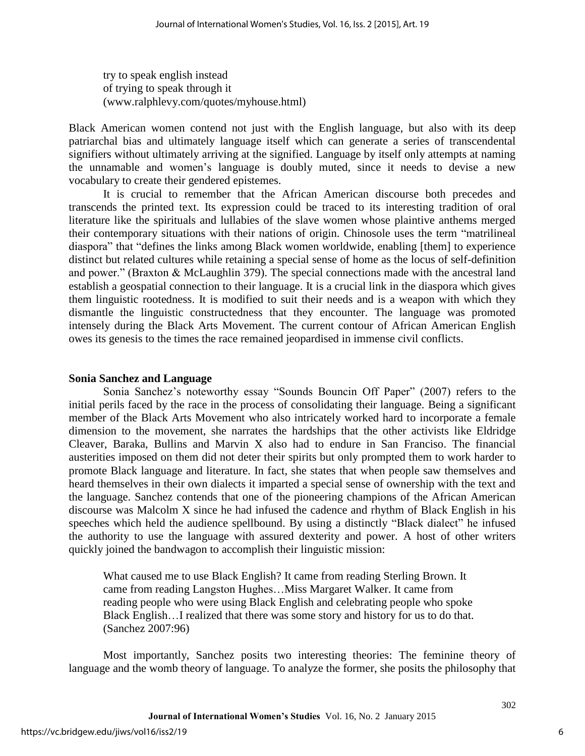try to speak english instead of trying to speak through it (www.ralphlevy.com/quotes/myhouse.html)

Black American women contend not just with the English language, but also with its deep patriarchal bias and ultimately language itself which can generate a series of transcendental signifiers without ultimately arriving at the signified. Language by itself only attempts at naming the unnamable and women's language is doubly muted, since it needs to devise a new vocabulary to create their gendered epistemes.

It is crucial to remember that the African American discourse both precedes and transcends the printed text. Its expression could be traced to its interesting tradition of oral literature like the spirituals and lullabies of the slave women whose plaintive anthems merged their contemporary situations with their nations of origin. Chinosole uses the term "matrilineal diaspora" that "defines the links among Black women worldwide, enabling [them] to experience distinct but related cultures while retaining a special sense of home as the locus of self-definition and power." (Braxton & McLaughlin 379). The special connections made with the ancestral land establish a geospatial connection to their language. It is a crucial link in the diaspora which gives them linguistic rootedness. It is modified to suit their needs and is a weapon with which they dismantle the linguistic constructedness that they encounter. The language was promoted intensely during the Black Arts Movement. The current contour of African American English owes its genesis to the times the race remained jeopardised in immense civil conflicts.

## **Sonia Sanchez and Language**

Sonia Sanchez's noteworthy essay "Sounds Bouncin Off Paper" (2007) refers to the initial perils faced by the race in the process of consolidating their language. Being a significant member of the Black Arts Movement who also intricately worked hard to incorporate a female dimension to the movement, she narrates the hardships that the other activists like Eldridge Cleaver, Baraka, Bullins and Marvin X also had to endure in San Franciso. The financial austerities imposed on them did not deter their spirits but only prompted them to work harder to promote Black language and literature. In fact, she states that when people saw themselves and heard themselves in their own dialects it imparted a special sense of ownership with the text and the language. Sanchez contends that one of the pioneering champions of the African American discourse was Malcolm X since he had infused the cadence and rhythm of Black English in his speeches which held the audience spellbound. By using a distinctly "Black dialect" he infused the authority to use the language with assured dexterity and power. A host of other writers quickly joined the bandwagon to accomplish their linguistic mission:

What caused me to use Black English? It came from reading Sterling Brown. It came from reading Langston Hughes…Miss Margaret Walker. It came from reading people who were using Black English and celebrating people who spoke Black English…I realized that there was some story and history for us to do that. (Sanchez 2007:96)

Most importantly, Sanchez posits two interesting theories: The feminine theory of language and the womb theory of language. To analyze the former, she posits the philosophy that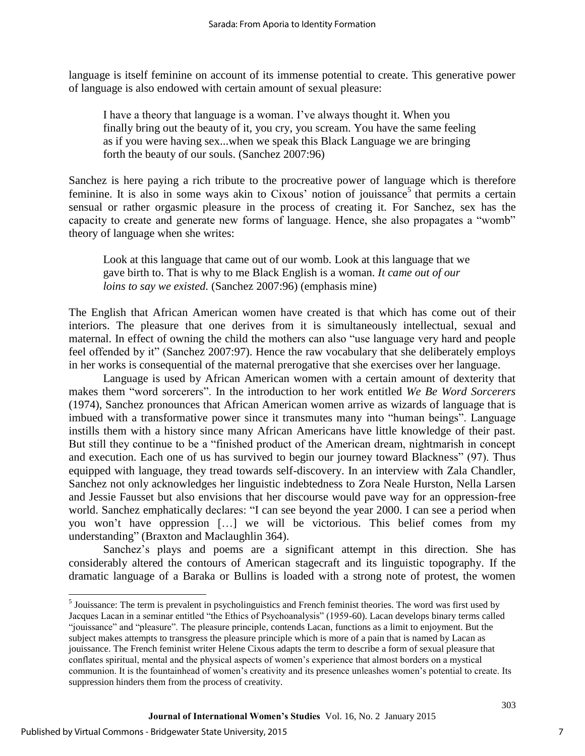language is itself feminine on account of its immense potential to create. This generative power of language is also endowed with certain amount of sexual pleasure:

I have a theory that language is a woman. I've always thought it. When you finally bring out the beauty of it, you cry, you scream. You have the same feeling as if you were having sex...when we speak this Black Language we are bringing forth the beauty of our souls. (Sanchez 2007:96)

Sanchez is here paying a rich tribute to the procreative power of language which is therefore feminine. It is also in some ways akin to Cixous' notion of jouissance<sup>5</sup> that permits a certain sensual or rather orgasmic pleasure in the process of creating it. For Sanchez, sex has the capacity to create and generate new forms of language. Hence, she also propagates a "womb" theory of language when she writes:

Look at this language that came out of our womb. Look at this language that we gave birth to. That is why to me Black English is a woman. *It came out of our loins to say we existed.* (Sanchez 2007:96) (emphasis mine)

The English that African American women have created is that which has come out of their interiors. The pleasure that one derives from it is simultaneously intellectual, sexual and maternal. In effect of owning the child the mothers can also "use language very hard and people feel offended by it" (Sanchez 2007:97). Hence the raw vocabulary that she deliberately employs in her works is consequential of the maternal prerogative that she exercises over her language.

Language is used by African American women with a certain amount of dexterity that makes them "word sorcerers". In the introduction to her work entitled *We Be Word Sorcerers*  (1974), Sanchez pronounces that African American women arrive as wizards of language that is imbued with a transformative power since it transmutes many into "human beings". Language instills them with a history since many African Americans have little knowledge of their past. But still they continue to be a "finished product of the American dream, nightmarish in concept and execution. Each one of us has survived to begin our journey toward Blackness" (97). Thus equipped with language, they tread towards self-discovery. In an interview with Zala Chandler, Sanchez not only acknowledges her linguistic indebtedness to Zora Neale Hurston, Nella Larsen and Jessie Fausset but also envisions that her discourse would pave way for an oppression-free world. Sanchez emphatically declares: "I can see beyond the year 2000. I can see a period when you won't have oppression […] we will be victorious. This belief comes from my understanding" (Braxton and Maclaughlin 364).

Sanchez's plays and poems are a significant attempt in this direction. She has considerably altered the contours of American stagecraft and its linguistic topography. If the dramatic language of a Baraka or Bullins is loaded with a strong note of protest, the women

 $\overline{a}$ 

<sup>&</sup>lt;sup>5</sup> Jouissance: The term is prevalent in psycholinguistics and French feminist theories. The word was first used by Jacques Lacan in a seminar entitled "the Ethics of Psychoanalysis" (1959-60). Lacan develops binary terms called "jouissance" and "pleasure". The pleasure principle, contends Lacan, functions as a limit to enjoyment. But the subject makes attempts to transgress the pleasure principle which is more of a pain that is named by Lacan as jouissance. The French feminist writer Helene Cixous adapts the term to describe a form of sexual pleasure that conflates spiritual, mental and the physical aspects of women's experience that almost borders on a mystical communion. It is the fountainhead of women's creativity and its presence unleashes women's potential to create. Its suppression hinders them from the process of creativity.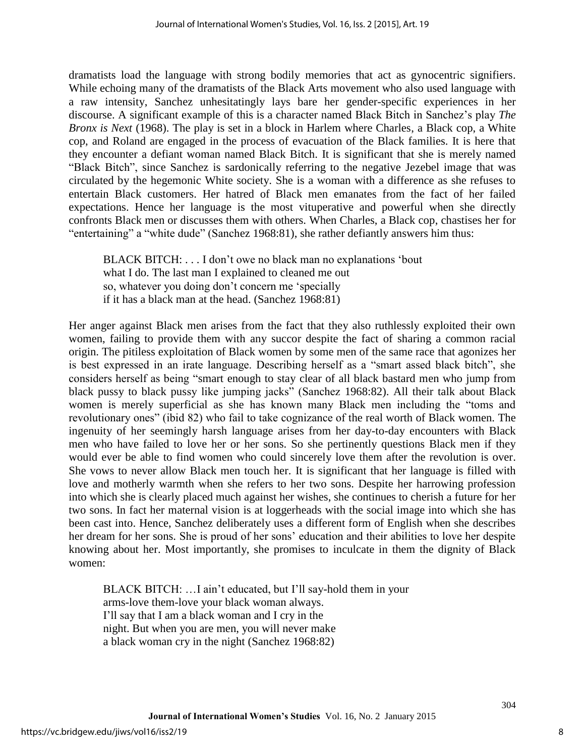dramatists load the language with strong bodily memories that act as gynocentric signifiers. While echoing many of the dramatists of the Black Arts movement who also used language with a raw intensity, Sanchez unhesitatingly lays bare her gender-specific experiences in her discourse. A significant example of this is a character named Black Bitch in Sanchez's play *The Bronx is Next* (1968). The play is set in a block in Harlem where Charles, a Black cop, a White cop, and Roland are engaged in the process of evacuation of the Black families. It is here that they encounter a defiant woman named Black Bitch. It is significant that she is merely named "Black Bitch", since Sanchez is sardonically referring to the negative Jezebel image that was circulated by the hegemonic White society. She is a woman with a difference as she refuses to entertain Black customers. Her hatred of Black men emanates from the fact of her failed expectations. Hence her language is the most vituperative and powerful when she directly confronts Black men or discusses them with others. When Charles, a Black cop, chastises her for "entertaining" a "white dude" (Sanchez 1968:81), she rather defiantly answers him thus:

BLACK BITCH: . . . I don't owe no black man no explanations 'bout what I do. The last man I explained to cleaned me out so, whatever you doing don't concern me 'specially if it has a black man at the head. (Sanchez 1968:81)

Her anger against Black men arises from the fact that they also ruthlessly exploited their own women, failing to provide them with any succor despite the fact of sharing a common racial origin. The pitiless exploitation of Black women by some men of the same race that agonizes her is best expressed in an irate language. Describing herself as a "smart assed black bitch", she considers herself as being "smart enough to stay clear of all black bastard men who jump from black pussy to black pussy like jumping jacks" (Sanchez 1968:82). All their talk about Black women is merely superficial as she has known many Black men including the "toms and revolutionary ones" (ibid 82) who fail to take cognizance of the real worth of Black women. The ingenuity of her seemingly harsh language arises from her day-to-day encounters with Black men who have failed to love her or her sons. So she pertinently questions Black men if they would ever be able to find women who could sincerely love them after the revolution is over. She vows to never allow Black men touch her. It is significant that her language is filled with love and motherly warmth when she refers to her two sons. Despite her harrowing profession into which she is clearly placed much against her wishes, she continues to cherish a future for her two sons. In fact her maternal vision is at loggerheads with the social image into which she has been cast into. Hence, Sanchez deliberately uses a different form of English when she describes her dream for her sons. She is proud of her sons' education and their abilities to love her despite knowing about her. Most importantly, she promises to inculcate in them the dignity of Black women:

BLACK BITCH: …I ain't educated, but I'll say-hold them in your arms-love them-love your black woman always. I'll say that I am a black woman and I cry in the night. But when you are men, you will never make a black woman cry in the night (Sanchez 1968:82)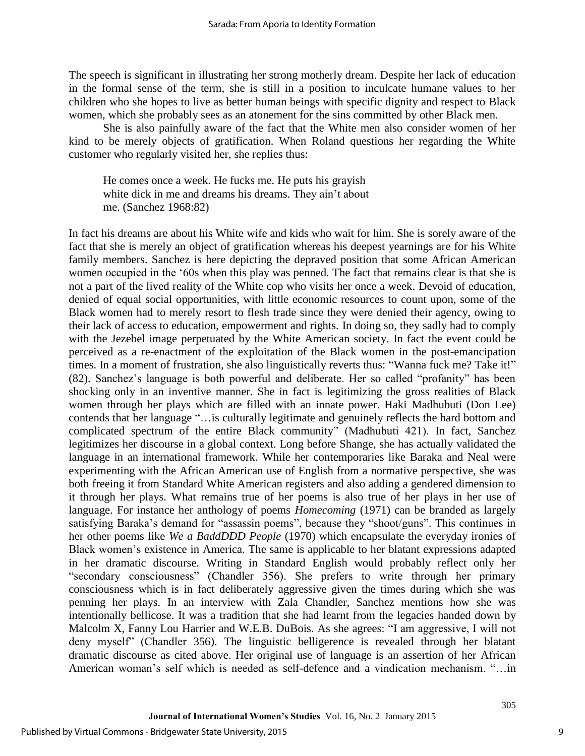The speech is significant in illustrating her strong motherly dream. Despite her lack of education in the formal sense of the term, she is still in a position to inculcate humane values to her children who she hopes to live as better human beings with specific dignity and respect to Black women, which she probably sees as an atonement for the sins committed by other Black men.

She is also painfully aware of the fact that the White men also consider women of her kind to be merely objects of gratification. When Roland questions her regarding the White customer who regularly visited her, she replies thus:

He comes once a week. He fucks me. He puts his grayish white dick in me and dreams his dreams. They ain't about me. (Sanchez 1968:82)

In fact his dreams are about his White wife and kids who wait for him. She is sorely aware of the fact that she is merely an object of gratification whereas his deepest yearnings are for his White family members. Sanchez is here depicting the depraved position that some African American women occupied in the '60s when this play was penned. The fact that remains clear is that she is not a part of the lived reality of the White cop who visits her once a week. Devoid of education, denied of equal social opportunities, with little economic resources to count upon, some of the Black women had to merely resort to flesh trade since they were denied their agency, owing to their lack of access to education, empowerment and rights. In doing so, they sadly had to comply with the Jezebel image perpetuated by the White American society. In fact the event could be perceived as a re-enactment of the exploitation of the Black women in the post-emancipation times. In a moment of frustration, she also linguistically reverts thus: "Wanna fuck me? Take it!" (82). Sanchez's language is both powerful and deliberate. Her so called "profanity" has been shocking only in an inventive manner. She in fact is legitimizing the gross realities of Black women through her plays which are filled with an innate power. Haki Madhubuti (Don Lee) contends that her language "…is culturally legitimate and genuinely reflects the hard bottom and complicated spectrum of the entire Black community" (Madhubuti 421). In fact, Sanchez legitimizes her discourse in a global context. Long before Shange, she has actually validated the language in an international framework. While her contemporaries like Baraka and Neal were experimenting with the African American use of English from a normative perspective, she was both freeing it from Standard White American registers and also adding a gendered dimension to it through her plays. What remains true of her poems is also true of her plays in her use of language. For instance her anthology of poems *Homecoming* (1971) can be branded as largely satisfying Baraka's demand for "assassin poems", because they "shoot/guns". This continues in her other poems like *We a BaddDDD People* (1970) which encapsulate the everyday ironies of Black women's existence in America. The same is applicable to her blatant expressions adapted in her dramatic discourse. Writing in Standard English would probably reflect only her "secondary consciousness" (Chandler 356). She prefers to write through her primary consciousness which is in fact deliberately aggressive given the times during which she was penning her plays. In an interview with Zala Chandler, Sanchez mentions how she was intentionally bellicose. It was a tradition that she had learnt from the legacies handed down by Malcolm X, Fanny Lou Harrier and W.E.B. DuBois. As she agrees: "I am aggressive, I will not deny myself" (Chandler 356). The linguistic belligerence is revealed through her blatant dramatic discourse as cited above. Her original use of language is an assertion of her African American woman's self which is needed as self-defence and a vindication mechanism. "…in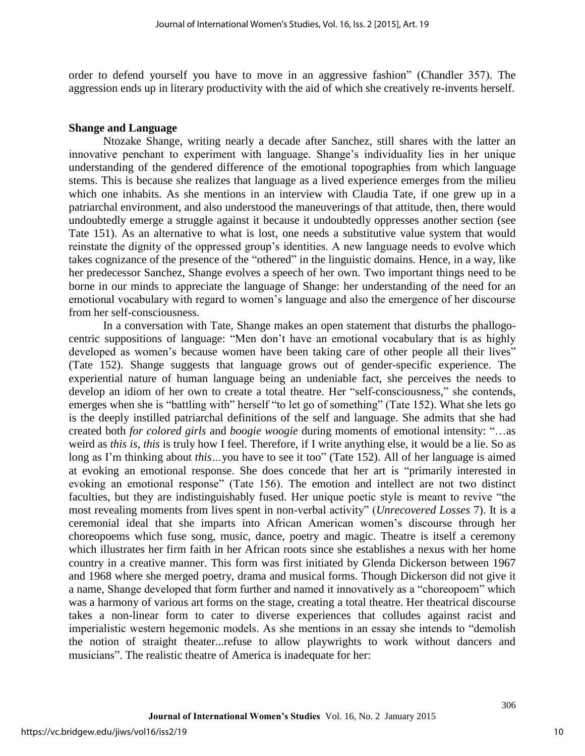order to defend yourself you have to move in an aggressive fashion" (Chandler 357). The aggression ends up in literary productivity with the aid of which she creatively re-invents herself.

## **Shange and Language**

Ntozake Shange, writing nearly a decade after Sanchez, still shares with the latter an innovative penchant to experiment with language. Shange's individuality lies in her unique understanding of the gendered difference of the emotional topographies from which language stems. This is because she realizes that language as a lived experience emerges from the milieu which one inhabits. As she mentions in an interview with Claudia Tate, if one grew up in a patriarchal environment, and also understood the maneuverings of that attitude, then, there would undoubtedly emerge a struggle against it because it undoubtedly oppresses another section (see Tate 151). As an alternative to what is lost, one needs a substitutive value system that would reinstate the dignity of the oppressed group's identities. A new language needs to evolve which takes cognizance of the presence of the "othered" in the linguistic domains. Hence, in a way, like her predecessor Sanchez, Shange evolves a speech of her own. Two important things need to be borne in our minds to appreciate the language of Shange: her understanding of the need for an emotional vocabulary with regard to women's language and also the emergence of her discourse from her self-consciousness.

In a conversation with Tate, Shange makes an open statement that disturbs the phallogocentric suppositions of language: "Men don't have an emotional vocabulary that is as highly developed as women's because women have been taking care of other people all their lives" (Tate 152). Shange suggests that language grows out of gender-specific experience. The experiential nature of human language being an undeniable fact, she perceives the needs to develop an idiom of her own to create a total theatre. Her "self-consciousness," she contends, emerges when she is "battling with" herself "to let go of something" (Tate 152). What she lets go is the deeply instilled patriarchal definitions of the self and language. She admits that she had created both *for colored girls* and *boogie woogie* during moments of emotional intensity: "…as weird as *this is*, *this* is truly how I feel. Therefore, if I write anything else, it would be a lie. So as long as I'm thinking about *this*...you have to see it too" (Tate 152). All of her language is aimed at evoking an emotional response. She does concede that her art is "primarily interested in evoking an emotional response" (Tate 156). The emotion and intellect are not two distinct faculties, but they are indistinguishably fused. Her unique poetic style is meant to revive "the most revealing moments from lives spent in non-verbal activity" (*Unrecovered Losses* 7). It is a ceremonial ideal that she imparts into African American women's discourse through her choreopoems which fuse song, music, dance, poetry and magic. Theatre is itself a ceremony which illustrates her firm faith in her African roots since she establishes a nexus with her home country in a creative manner. This form was first initiated by Glenda Dickerson between 1967 and 1968 where she merged poetry, drama and musical forms. Though Dickerson did not give it a name, Shange developed that form further and named it innovatively as a "choreopoem" which was a harmony of various art forms on the stage, creating a total theatre. Her theatrical discourse takes a non-linear form to cater to diverse experiences that colludes against racist and imperialistic western hegemonic models. As she mentions in an essay she intends to "demolish the notion of straight theater...refuse to allow playwrights to work without dancers and musicians". The realistic theatre of America is inadequate for her: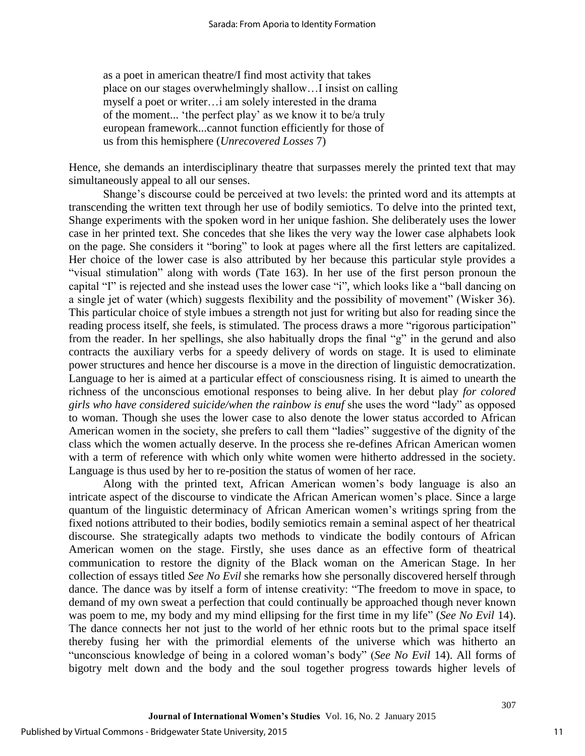as a poet in american theatre/I find most activity that takes place on our stages overwhelmingly shallow…I insist on calling myself a poet or writer…i am solely interested in the drama of the moment... 'the perfect play' as we know it to be/a truly european framework...cannot function efficiently for those of us from this hemisphere (*Unrecovered Losses* 7)

Hence, she demands an interdisciplinary theatre that surpasses merely the printed text that may simultaneously appeal to all our senses.

Shange's discourse could be perceived at two levels: the printed word and its attempts at transcending the written text through her use of bodily semiotics. To delve into the printed text, Shange experiments with the spoken word in her unique fashion. She deliberately uses the lower case in her printed text. She concedes that she likes the very way the lower case alphabets look on the page. She considers it "boring" to look at pages where all the first letters are capitalized. Her choice of the lower case is also attributed by her because this particular style provides a "visual stimulation" along with words (Tate 163). In her use of the first person pronoun the capital "I" is rejected and she instead uses the lower case "i", which looks like a "ball dancing on a single jet of water (which) suggests flexibility and the possibility of movement" (Wisker 36). This particular choice of style imbues a strength not just for writing but also for reading since the reading process itself, she feels, is stimulated. The process draws a more "rigorous participation" from the reader. In her spellings, she also habitually drops the final "g" in the gerund and also contracts the auxiliary verbs for a speedy delivery of words on stage. It is used to eliminate power structures and hence her discourse is a move in the direction of linguistic democratization. Language to her is aimed at a particular effect of consciousness rising. It is aimed to unearth the richness of the unconscious emotional responses to being alive. In her debut play *for colored girls who have considered suicide/when the rainbow is enuf* she uses the word "lady" as opposed to woman. Though she uses the lower case to also denote the lower status accorded to African American women in the society, she prefers to call them "ladies" suggestive of the dignity of the class which the women actually deserve. In the process she re-defines African American women with a term of reference with which only white women were hitherto addressed in the society. Language is thus used by her to re-position the status of women of her race.

Along with the printed text, African American women's body language is also an intricate aspect of the discourse to vindicate the African American women's place. Since a large quantum of the linguistic determinacy of African American women's writings spring from the fixed notions attributed to their bodies, bodily semiotics remain a seminal aspect of her theatrical discourse. She strategically adapts two methods to vindicate the bodily contours of African American women on the stage. Firstly, she uses dance as an effective form of theatrical communication to restore the dignity of the Black woman on the American Stage. In her collection of essays titled *See No Evil* she remarks how she personally discovered herself through dance. The dance was by itself a form of intense creativity: "The freedom to move in space, to demand of my own sweat a perfection that could continually be approached though never known was poem to me, my body and my mind ellipsing for the first time in my life" (*See No Evil* 14). The dance connects her not just to the world of her ethnic roots but to the primal space itself thereby fusing her with the primordial elements of the universe which was hitherto an "unconscious knowledge of being in a colored woman's body" (*See No Evil* 14). All forms of bigotry melt down and the body and the soul together progress towards higher levels of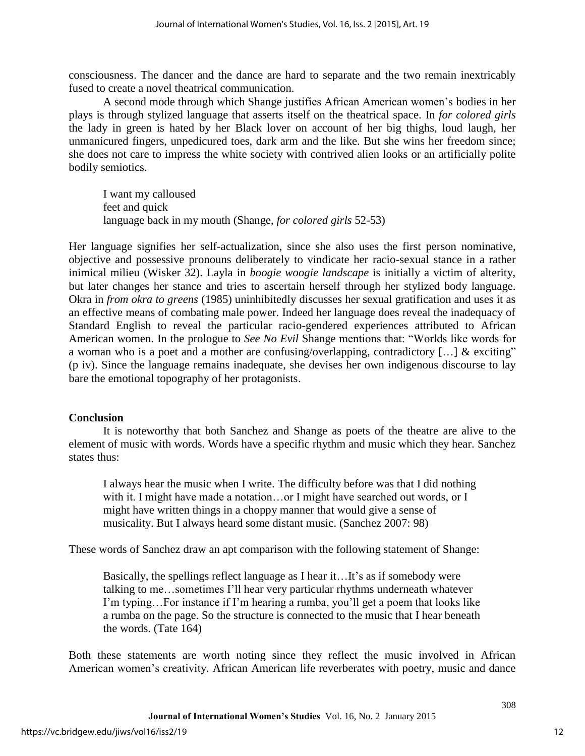consciousness. The dancer and the dance are hard to separate and the two remain inextricably fused to create a novel theatrical communication.

A second mode through which Shange justifies African American women's bodies in her plays is through stylized language that asserts itself on the theatrical space. In *for colored girls* the lady in green is hated by her Black lover on account of her big thighs, loud laugh, her unmanicured fingers, unpedicured toes, dark arm and the like. But she wins her freedom since; she does not care to impress the white society with contrived alien looks or an artificially polite bodily semiotics.

I want my calloused feet and quick language back in my mouth (Shange, *for colored girls* 52-53)

Her language signifies her self-actualization, since she also uses the first person nominative, objective and possessive pronouns deliberately to vindicate her racio-sexual stance in a rather inimical milieu (Wisker 32). Layla in *boogie woogie landscape* is initially a victim of alterity, but later changes her stance and tries to ascertain herself through her stylized body language. Okra in *from okra to greens* (1985) uninhibitedly discusses her sexual gratification and uses it as an effective means of combating male power. Indeed her language does reveal the inadequacy of Standard English to reveal the particular racio-gendered experiences attributed to African American women. In the prologue to *See No Evil* Shange mentions that: "Worlds like words for a woman who is a poet and a mother are confusing/overlapping, contradictory […] & exciting" (p iv). Since the language remains inadequate, she devises her own indigenous discourse to lay bare the emotional topography of her protagonists.

## **Conclusion**

It is noteworthy that both Sanchez and Shange as poets of the theatre are alive to the element of music with words. Words have a specific rhythm and music which they hear. Sanchez states thus:

I always hear the music when I write. The difficulty before was that I did nothing with it. I might have made a notation...or I might have searched out words, or I might have written things in a choppy manner that would give a sense of musicality. But I always heard some distant music. (Sanchez 2007: 98)

These words of Sanchez draw an apt comparison with the following statement of Shange:

Basically, the spellings reflect language as I hear it…It's as if somebody were talking to me…sometimes I'll hear very particular rhythms underneath whatever I'm typing…For instance if I'm hearing a rumba, you'll get a poem that looks like a rumba on the page. So the structure is connected to the music that I hear beneath the words. (Tate 164)

Both these statements are worth noting since they reflect the music involved in African American women's creativity. African American life reverberates with poetry, music and dance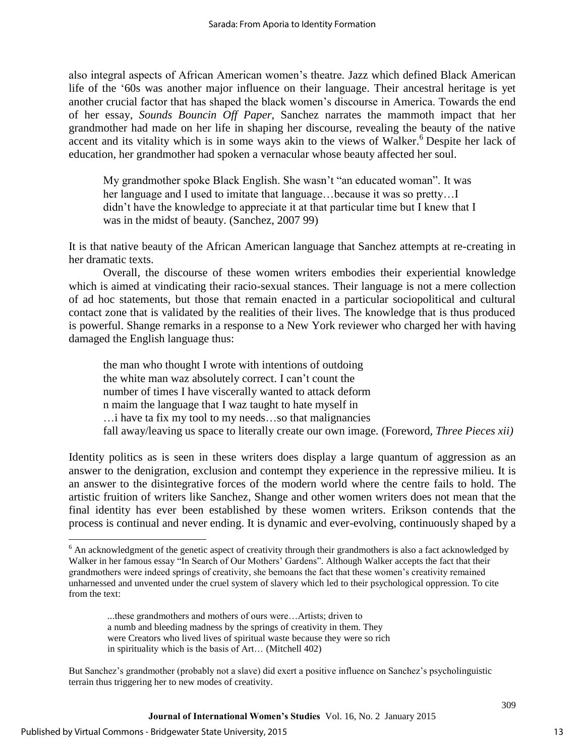also integral aspects of African American women's theatre. Jazz which defined Black American life of the '60s was another major influence on their language. Their ancestral heritage is yet another crucial factor that has shaped the black women's discourse in America. Towards the end of her essay, *Sounds Bouncin Off Paper*, Sanchez narrates the mammoth impact that her grandmother had made on her life in shaping her discourse, revealing the beauty of the native accent and its vitality which is in some ways akin to the views of Walker.<sup>6</sup> Despite her lack of education, her grandmother had spoken a vernacular whose beauty affected her soul.

My grandmother spoke Black English. She wasn't "an educated woman". It was her language and I used to imitate that language…because it was so pretty…I didn't have the knowledge to appreciate it at that particular time but I knew that I was in the midst of beauty. (Sanchez, 2007 99)

It is that native beauty of the African American language that Sanchez attempts at re-creating in her dramatic texts.

Overall, the discourse of these women writers embodies their experiential knowledge which is aimed at vindicating their racio-sexual stances. Their language is not a mere collection of ad hoc statements, but those that remain enacted in a particular sociopolitical and cultural contact zone that is validated by the realities of their lives. The knowledge that is thus produced is powerful. Shange remarks in a response to a New York reviewer who charged her with having damaged the English language thus:

the man who thought I wrote with intentions of outdoing the white man waz absolutely correct. I can't count the number of times I have viscerally wanted to attack deform n maim the language that I waz taught to hate myself in …i have ta fix my tool to my needs…so that malignancies fall away/leaving us space to literally create our own image. (Foreword, *Three Pieces xii)*

Identity politics as is seen in these writers does display a large quantum of aggression as an answer to the denigration, exclusion and contempt they experience in the repressive milieu. It is an answer to the disintegrative forces of the modern world where the centre fails to hold. The artistic fruition of writers like Sanchez, Shange and other women writers does not mean that the final identity has ever been established by these women writers. Erikson contends that the process is continual and never ending. It is dynamic and ever-evolving, continuously shaped by a

 $\overline{\phantom{a}}$ 

 $6$  An acknowledgment of the genetic aspect of creativity through their grandmothers is also a fact acknowledged by Walker in her famous essay "In Search of Our Mothers' Gardens". Although Walker accepts the fact that their grandmothers were indeed springs of creativity, she bemoans the fact that these women's creativity remained unharnessed and unvented under the cruel system of slavery which led to their psychological oppression. To cite from the text:

<sup>...</sup>these grandmothers and mothers of ours were…Artists; driven to a numb and bleeding madness by the springs of creativity in them. They were Creators who lived lives of spiritual waste because they were so rich in spirituality which is the basis of Art… (Mitchell 402)

But Sanchez's grandmother (probably not a slave) did exert a positive influence on Sanchez's psycholinguistic terrain thus triggering her to new modes of creativity.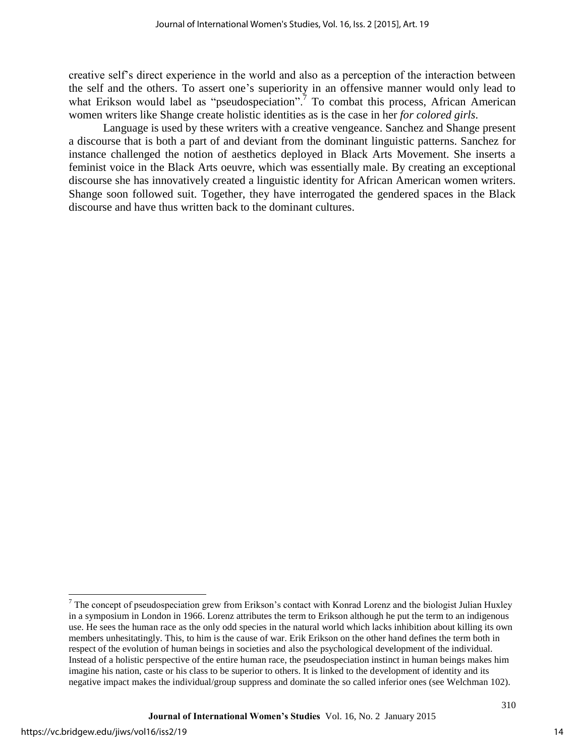creative self's direct experience in the world and also as a perception of the interaction between the self and the others. To assert one's superiority in an offensive manner would only lead to what Erikson would label as "pseudospeciation".<sup>7</sup> To combat this process, African American women writers like Shange create holistic identities as is the case in her *for colored girls*.

Language is used by these writers with a creative vengeance. Sanchez and Shange present a discourse that is both a part of and deviant from the dominant linguistic patterns. Sanchez for instance challenged the notion of aesthetics deployed in Black Arts Movement. She inserts a feminist voice in the Black Arts oeuvre, which was essentially male. By creating an exceptional discourse she has innovatively created a linguistic identity for African American women writers. Shange soon followed suit. Together, they have interrogated the gendered spaces in the Black discourse and have thus written back to the dominant cultures.

<sup>&</sup>lt;sup>7</sup> The concept of pseudospeciation grew from Erikson's contact with Konrad Lorenz and the biologist Julian Huxley in a symposium in London in 1966. Lorenz attributes the term to Erikson although he put the term to an indigenous use. He sees the human race as the only odd species in the natural world which lacks inhibition about killing its own members unhesitatingly. This, to him is the cause of war. Erik Erikson on the other hand defines the term both in respect of the evolution of human beings in societies and also the psychological development of the individual. Instead of a holistic perspective of the entire human race, the pseudospeciation instinct in human beings makes him imagine his nation, caste or his class to be superior to others. It is linked to the development of identity and its negative impact makes the individual/group suppress and dominate the so called inferior ones (see Welchman 102).